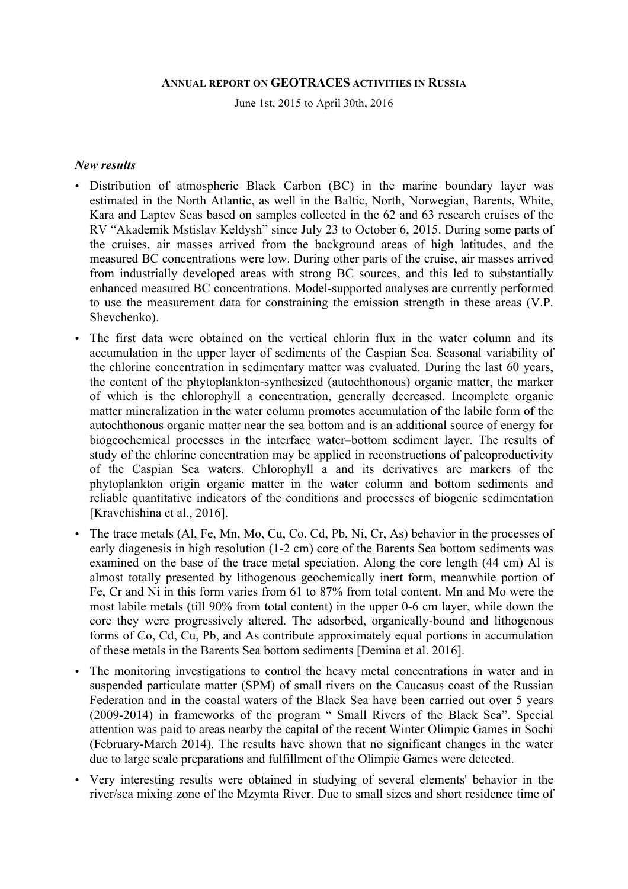#### **ANNUAL REPORT ON GEOTRACES ACTIVITIES IN RUSSIA**

June 1st, 2015 to April 30th, 2016

#### *New results*

- Distribution of atmospheric Black Carbon (BC) in the marine boundary layer was estimated in the North Atlantic, as well in the Baltic, North, Norwegian, Barents, White, Kara and Laptev Seas based on samples collected in the 62 and 63 research cruises of the RV "Akademik Mstislav Keldysh" since July 23 to October 6, 2015. During some parts of the cruises, air masses arrived from the background areas of high latitudes, and the measured BC concentrations were low. During other parts of the cruise, air masses arrived from industrially developed areas with strong BC sources, and this led to substantially enhanced measured BC concentrations. Model-supported analyses are currently performed to use the measurement data for constraining the emission strength in these areas (V.P. Shevchenko).
- The first data were obtained on the vertical chlorin flux in the water column and its accumulation in the upper layer of sediments of the Caspian Sea. Seasonal variability of the chlorine concentration in sedimentary matter was evaluated. During the last 60 years, the content of the phytoplankton-synthesized (autochthonous) organic matter, the marker of which is the chlorophyll a concentration, generally decreased. Incomplete organic matter mineralization in the water column promotes accumulation of the labile form of the autochthonous organic matter near the sea bottom and is an additional source of energy for biogeochemical processes in the interface water–bottom sediment layer. The results of study of the chlorine concentration may be applied in reconstructions of paleoproductivity of the Caspian Sea waters. Chlorophyll a and its derivatives are markers of the phytoplankton origin organic matter in the water column and bottom sediments and reliable quantitative indicators of the conditions and processes of biogenic sedimentation [Kravchishina et al., 2016].
- The trace metals (Al, Fe, Mn, Mo, Cu, Co, Cd, Pb, Ni, Cr, As) behavior in the processes of early diagenesis in high resolution (1-2 cm) core of the Barents Sea bottom sediments was examined on the base of the trace metal speciation. Along the core length (44 cm) Al is almost totally presented by lithogenous geochemically inert form, meanwhile portion of Fe, Cr and Ni in this form varies from 61 to 87% from total content. Mn and Mo were the most labile metals (till 90% from total content) in the upper 0-6 cm layer, while down the core they were progressively altered. The adsorbed, organically-bound and lithogenous forms of Co, Cd, Cu, Pb, and As contribute approximately equal portions in accumulation of these metals in the Barents Sea bottom sediments [Demina et al. 2016].
- The monitoring investigations to control the heavy metal concentrations in water and in suspended particulate matter (SPM) of small rivers on the Caucasus coast of the Russian Federation and in the coastal waters of the Black Sea have been carried out over 5 years (2009-2014) in frameworks of the program " Small Rivers of the Black Sea". Special attention was paid to areas nearby the capital of the recent Winter Olimpic Games in Sochi (February-March 2014). The results have shown that no significant changes in the water due to large scale preparations and fulfillment of the Olimpic Games were detected.
- Very interesting results were obtained in studying of several elements' behavior in the river/sea mixing zone of the Mzymta River. Due to small sizes and short residence time of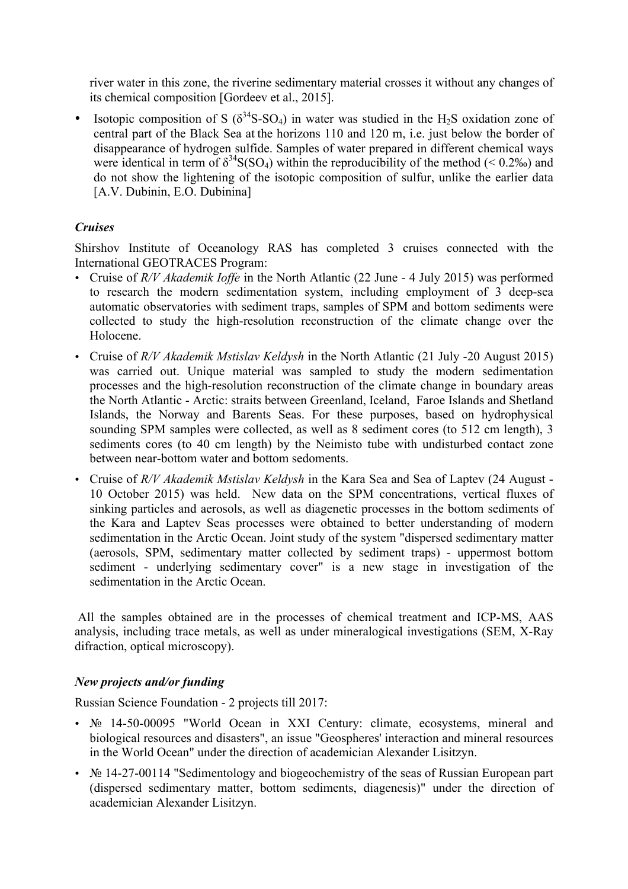river water in this zone, the riverine sedimentary material crosses it without any changes of its chemical composition [Gordeev et al., 2015].

• Isotopic composition of S ( $\delta^{34}S-SO_4$ ) in water was studied in the H<sub>2</sub>S oxidation zone of central part of the Black Sea at the horizons 110 and 120 m, i.e. just below the border of disappearance of hydrogen sulfide. Samples of water prepared in different chemical ways were identical in term of  $\delta^{34}S(SO_4)$  within the reproducibility of the method (< 0.2‰) and do not show the lightening of the isotopic composition of sulfur, unlike the earlier data [A.V. Dubinin, E.O. Dubinina]

# *Cruises*

Shirshov Institute of Oceanology RAS has completed 3 cruises connected with the International GEOTRACES Program:

- Cruise of *R/V Akademik Ioffe* in the North Atlantic (22 June 4 July 2015) was performed to research the modern sedimentation system, including employment of 3 deep-sea automatic observatories with sediment traps, samples of SPM and bottom sediments were collected to study the high-resolution reconstruction of the climate change over the Holocene.
- Cruise of *R/V Akademik Mstislav Keldysh* in the North Atlantic (21 July -20 August 2015) was carried out. Unique material was sampled to study the modern sedimentation processes and the high-resolution reconstruction of the climate change in boundary areas the North Atlantic - Arctic: straits between Greenland, Iceland, Faroe Islands and Shetland Islands, the Norway and Barents Seas. For these purposes, based on hydrophysical sounding SPM samples were collected, as well as 8 sediment cores (to 512 cm length), 3 sediments cores (to 40 cm length) by the Neimisto tube with undisturbed contact zone between near-bottom water and bottom sedoments.
- Cruise of *R/V Akademik Mstislav Keldysh* in the Kara Sea and Sea of Laptev (24 August 10 October 2015) was held. New data on the SPM concentrations, vertical fluxes of sinking particles and aerosols, as well as diagenetic processes in the bottom sediments of the Kara and Laptev Seas processes were obtained to better understanding of modern sedimentation in the Arctic Ocean. Joint study of the system "dispersed sedimentary matter (aerosols, SPM, sedimentary matter collected by sediment traps) - uppermost bottom sediment - underlying sedimentary cover" is a new stage in investigation of the sedimentation in the Arctic Ocean.

All the samples obtained are in the processes of chemical treatment and ICP-MS, AAS analysis, including trace metals, as well as under mineralogical investigations (SEM, X-Ray difraction, optical microscopy).

## *New projects and/or funding*

Russian Science Foundation - 2 projects till 2017:

- $\mathcal{N}_2$  14-50-00095 "World Ocean in XXI Century: climate, ecosystems, mineral and biological resources and disasters", an issue "Geospheres' interaction and mineral resources in the World Ocean" under the direction of academician Alexander Lisitzyn.
- $\mathcal{N}_2$  14-27-00114 "Sedimentology and biogeochemistry of the seas of Russian European part (dispersed sedimentary matter, bottom sediments, diagenesis)" under the direction of academician Alexander Lisitzyn.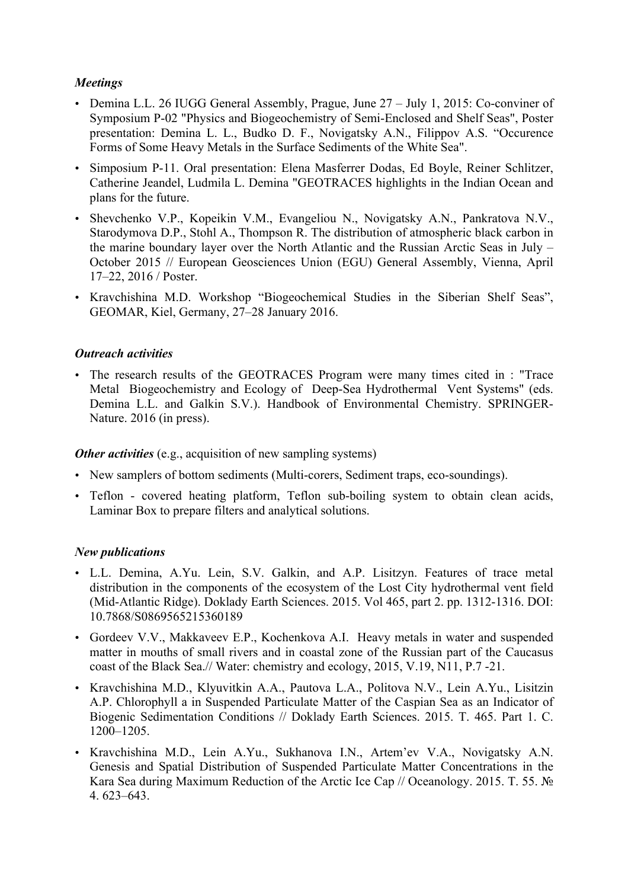## *Meetings*

- Demina L.L. 26 IUGG General Assembly, Prague, June 27 July 1, 2015: Co-conviner of Symposium Р-02 "Physics and Biogeochemistry of Semi-Enclosed and Shelf Seas", Poster presentation: Demina L. L., Budko D. F., Novigatsky A.N., Filippov A.S. "Occurence Forms of Some Heavy Metals in the Surface Sediments of the White Sea".
- Simposium P-11. Oral presentation: Elena Masferrer Dodas, Ed Boyle, Reiner Schlitzer, Catherine Jeandel, Ludmila L. Demina "GEOTRACES highlights in the Indian Ocean and plans for the future.
- Shevchenko V.P., Kopeikin V.M., Evangeliou N., Novigatsky A.N., Pankratova N.V., Starodymova D.P., Stohl A., Thompson R. The distribution of atmospheric black carbon in the marine boundary layer over the North Atlantic and the Russian Arctic Seas in July – October 2015 // European Geosciences Union (EGU) General Assembly, Vienna, April 17–22, 2016 / Poster.
- Kravchishina M.D. Workshop "Biogeochemical Studies in the Siberian Shelf Seas", GEOMAR, Kiel, Germany, 27–28 January 2016.

## *Outreach activities*

• The research results of the GEOTRACES Program were many times cited in : "Trace Metal Biogeochemistry and Ecology of Deep-Sea Hydrothermal Vent Systems" (eds. Demina L.L. and Galkin S.V.). Handbook of Environmental Chemistry. SPRINGER-Nature. 2016 (in press).

## *Other activities* (e.g., acquisition of new sampling systems)

- New samplers of bottom sediments (Multi-corers, Sediment traps, eco-soundings).
- Teflon covered heating platform, Teflon sub-boiling system to obtain clean acids, Laminar Box to prepare filters and analytical solutions.

## *New publications*

- L.L. Demina, A.Yu. Lein, S.V. Galkin, and A.P. Lisitzyn. Features of trace metal distribution in the components of the ecosystem of the Lost City hydrothermal vent field (Mid-Atlantic Ridge). Doklady Earth Sciences. 2015. Vol 465, part 2. pp. 1312-1316. DOI: 10.7868/S0869565215360189
- Gordeev V.V., Makkaveev E.P., Kochenkova A.I. Heavy metals in water and suspended matter in mouths of small rivers and in coastal zone of the Russian part of the Caucasus coast of the Black Sea.// Water: chemistry and ecology, 2015, V.19, N11, P.7 -21.
- Kravchishina M.D., Klyuvitkin A.A., Pautova L.A., Politova N.V., Lein A.Yu., Lisitzin A.P. Chlorophyll a in Suspended Particulate Matter of the Caspian Sea as an Indicator of Biogenic Sedimentation Conditions // Doklady Earth Sciences. 2015. T. 465. Part 1. C. 1200–1205.
- Kravchishina M.D., Lein A.Yu., Sukhanova I.N., Artem'ev V.A., Novigatsky A.N. Genesis and Spatial Distribution of Suspended Particulate Matter Concentrations in the Kara Sea during Maximum Reduction of the Arctic Ice Cap // Oceanology. 2015. Т. 55. № 4. 623–643.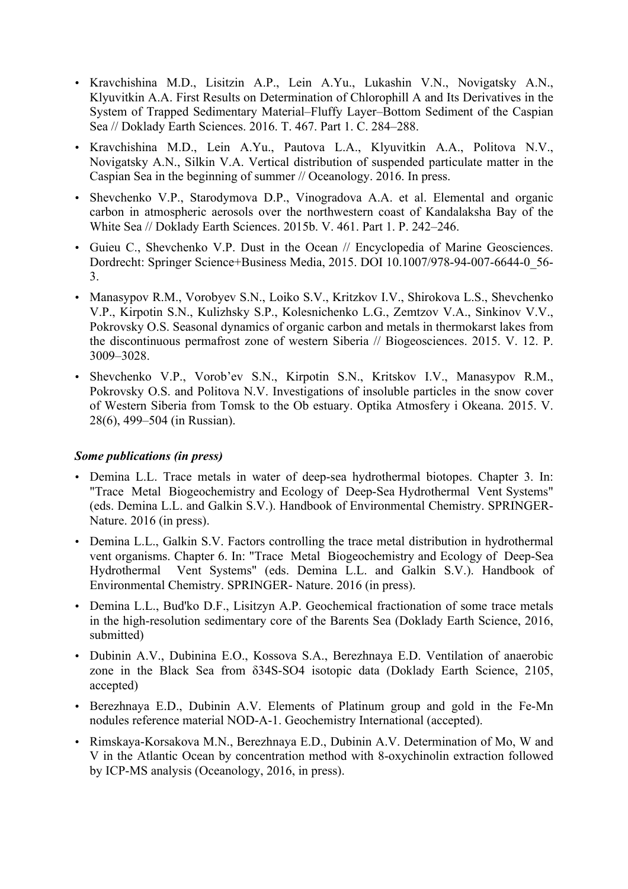- Kravchishina M.D., Lisitzin A.P., Lein A.Yu., Lukashin V.N., Novigatsky A.N., Klyuvitkin A.A. First Results on Determination of Chlorophill A and Its Derivatives in the System of Trapped Sedimentary Material–Fluffy Layer–Bottom Sediment of the Caspian Sea // Doklady Earth Sciences. 2016. Т. 467. Part 1. С. 284–288.
- Kravchishina M.D., Lein A.Yu., Pautova L.A., Klyuvitkin A.A., Politova N.V., Novigatsky A.N., Silkin V.A. Vertical distribution of suspended particulate matter in the Caspian Sea in the beginning of summer // Oceanology. 2016. In press.
- Shevchenko V.P., Starodymova D.P., Vinogradova A.A. et al. Elemental and organic carbon in atmospheric aerosols over the northwestern coast of Kandalaksha Bay of the White Sea // Doklady Earth Sciences. 2015b. V. 461. Part 1. P. 242–246.
- Guieu C., Shevchenko V.P. Dust in the Ocean // Encyclopedia of Marine Geosciences. Dordrecht: Springer Science+Business Media, 2015. DOI 10.1007/978-94-007-6644-0\_56- 3.
- Manasypov R.M., Vorobyev S.N., Loiko S.V., Kritzkov I.V., Shirokova L.S., Shevchenko V.P., Kirpotin S.N., Kulizhsky S.P., Kolesnichenko L.G., Zemtzov V.A., Sinkinov V.V., Pokrovsky O.S. Seasonal dynamics of organic carbon and metals in thermokarst lakes from the discontinuous permafrost zone of western Siberia // Biogeosciences. 2015. V. 12. P. 3009–3028.
- Shevchenko V.P., Vorob'ev S.N., Kirpotin S.N., Kritskov I.V., Manasypov R.M., Pokrovsky O.S. and Politova N.V. Investigations of insoluble particles in the snow cover of Western Siberia from Tomsk to the Ob estuary. Optika Atmosfery i Okeana. 2015. V. 28(6), 499–504 (in Russian).

#### *Some publications (in press)*

- Demina L.L. Trace metals in water of deep-sea hydrothermal biotopes. Chapter 3. In: "Trace Metal Biogeochemistry and Ecology of Deep-Sea Hydrothermal Vent Systems" (eds. Demina L.L. and Galkin S.V.). Handbook of Environmental Chemistry. SPRINGER-Nature. 2016 (in press).
- Demina L.L., Galkin S.V. Factors controlling the trace metal distribution in hydrothermal vent organisms. Chapter 6. In: "Trace Metal Biogeochemistry and Ecology of Deep-Sea Hydrothermal Vent Systems" (eds. Demina L.L. and Galkin S.V.). Handbook of Environmental Chemistry. SPRINGER- Nature. 2016 (in press).
- Demina L.L., Bud'ko D.F., Lisitzyn A.P. Geochemical fractionation of some trace metals in the high-resolution sedimentary core of the Barents Sea (Doklady Earth Science, 2016, submitted)
- Dubinin A.V., Dubinina E.O., Kossova S.A., Berezhnaya E.D. Ventilation of anaerobic zone in the Black Sea from δ34S-SO4 isotopic data (Doklady Earth Science, 2105, accepted)
- Berezhnaya E.D., Dubinin A.V. Elements of Platinum group and gold in the Fe-Mn nodules reference material NOD-A-1. Geochemistry International (accepted).
- Rimskaya-Korsakova M.N., Berezhnaya E.D., Dubinin A.V. Determination of Mo, W and V in the Atlantic Ocean by concentration method with 8-oxychinolin extraction followed by ICP-MS analysis (Oceanology, 2016, in press).